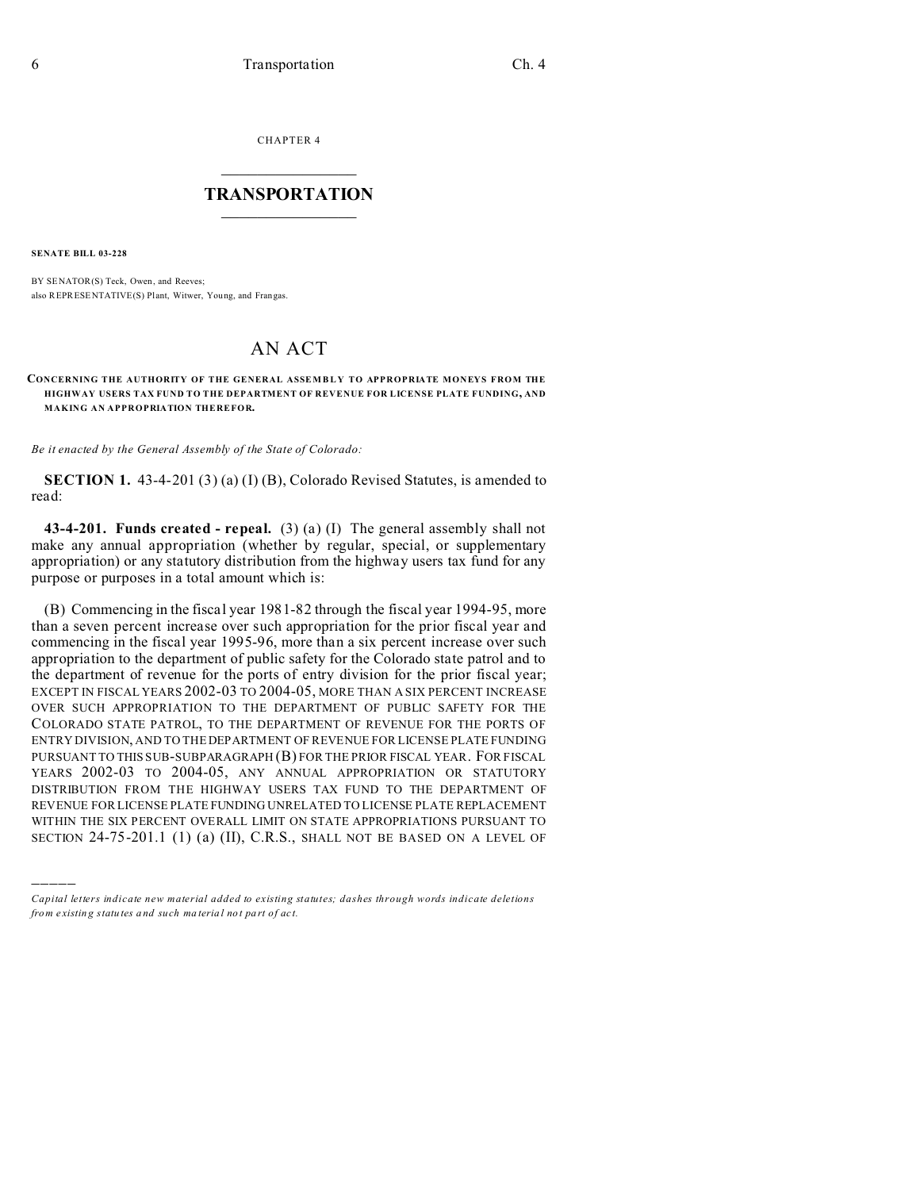CHAPTER 4  $\overline{\phantom{a}}$  , where  $\overline{\phantom{a}}$ 

## **TRANSPORTATION**  $\_$   $\_$   $\_$   $\_$   $\_$   $\_$   $\_$   $\_$   $\_$

**SENATE BILL 03-228**

)))))

BY SENATOR(S) Teck, Owen, and Reeves; also REPRESENTATIVE(S) Plant, Witwer, Young, and Frangas.

## AN ACT

## **CONCERNING THE AUTHORITY OF THE GENERAL ASSEMBLY TO APPROPRIATE MONEYS FROM THE HIGHWAY USERS TAX FUND TO THE DEPARTMENT OF REVENUE FOR LICENSE PLATE FUNDING, AND MAKING AN APPROPRIATION THEREFOR.**

*Be it enacted by the General Assembly of the State of Colorado:*

**SECTION 1.** 43-4-201 (3) (a) (I) (B), Colorado Revised Statutes, is amended to read:

**43-4-201. Funds created - repeal.** (3) (a) (I) The general assembly shall not make any annual appropriation (whether by regular, special, or supplementary appropriation) or any statutory distribution from the highway users tax fund for any purpose or purposes in a total amount which is:

(B) Commencing in the fiscal year 1981-82 through the fiscal year 1994-95, more than a seven percent increase over such appropriation for the prior fiscal year and commencing in the fiscal year 1995-96, more than a six percent increase over such appropriation to the department of public safety for the Colorado state patrol and to the department of revenue for the ports of entry division for the prior fiscal year; EXCEPT IN FISCAL YEARS 2002-03 TO 2004-05, MORE THAN A SIX PERCENT INCREASE OVER SUCH APPROPRIATION TO THE DEPARTMENT OF PUBLIC SAFETY FOR THE COLORADO STATE PATROL, TO THE DEPARTMENT OF REVENUE FOR THE PORTS OF ENTRY DIVISION, AND TO THE DEPARTMENT OF REVENUE FOR LICENSE PLATE FUNDING PURSUANT TO THIS SUB-SUBPARAGRAPH (B) FOR THE PRIOR FISCAL YEAR. FOR FISCAL YEARS 2002-03 TO 2004-05, ANY ANNUAL APPROPRIATION OR STATUTORY DISTRIBUTION FROM THE HIGHWAY USERS TAX FUND TO THE DEPARTMENT OF REVENUE FOR LICENSE PLATE FUNDING UNRELATED TO LICENSE PLATE REPLACEMENT WITHIN THE SIX PERCENT OVERALL LIMIT ON STATE APPROPRIATIONS PURSUANT TO SECTION 24-75-201.1 (1) (a) (II), C.R.S., SHALL NOT BE BASED ON A LEVEL OF

*Capital letters indicate new material added to existing statutes; dashes through words indicate deletions from e xistin g statu tes a nd such ma teria l no t pa rt of ac t.*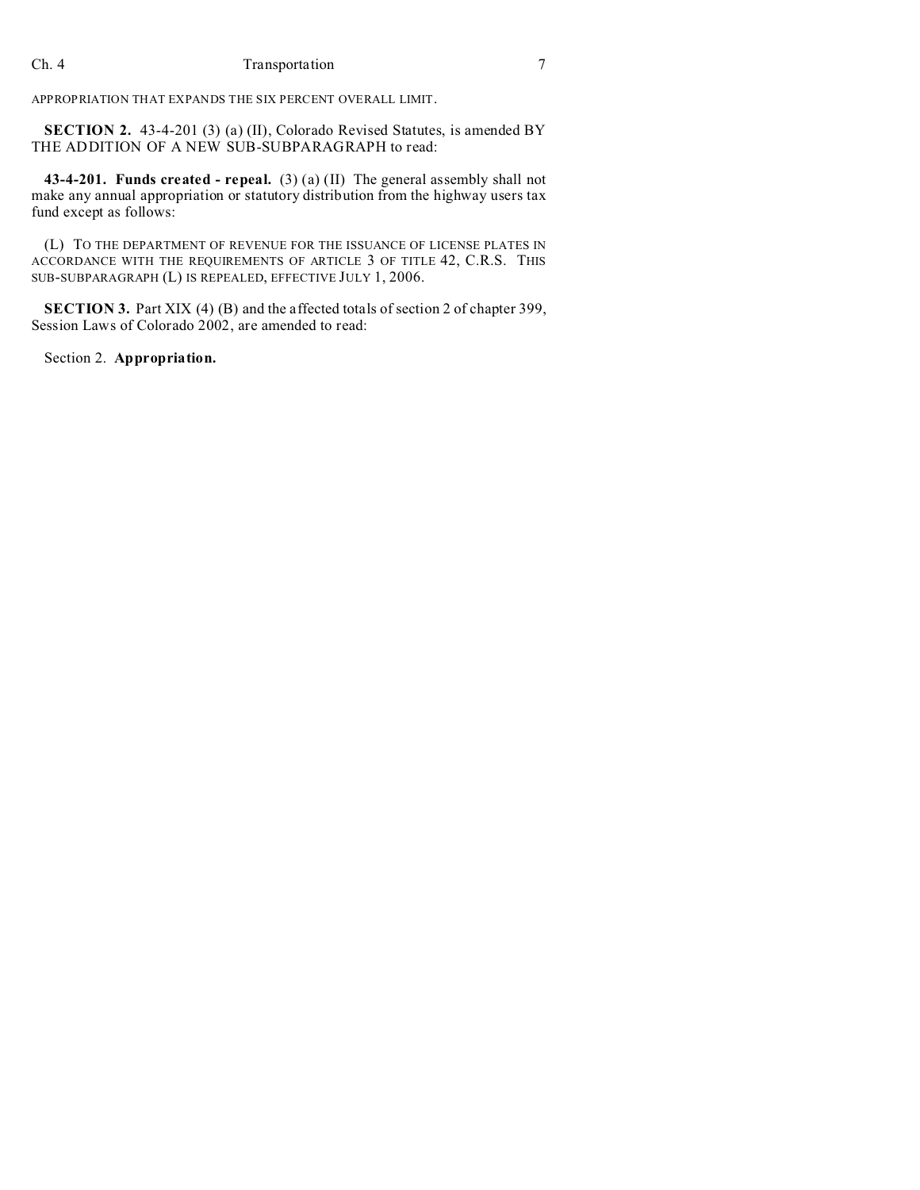APPROPRIATION THAT EXPANDS THE SIX PERCENT OVERALL LIMIT.

**SECTION 2.** 43-4-201 (3) (a) (II), Colorado Revised Statutes, is amended BY THE ADDITION OF A NEW SUB-SUBPARAGRAPH to read:

**43-4-201. Funds created - repeal.** (3) (a) (II) The general assembly shall not make any annual appropriation or statutory distribution from the highway users tax fund except as follows:

(L) TO THE DEPARTMENT OF REVENUE FOR THE ISSUANCE OF LICENSE PLATES IN ACCORDANCE WITH THE REQUIREMENTS OF ARTICLE 3 OF TITLE 42, C.R.S. THIS SUB-SUBPARAGRAPH (L) IS REPEALED, EFFECTIVE JULY 1, 2006.

**SECTION 3.** Part XIX (4) (B) and the affected totals of section 2 of chapter 399, Session Laws of Colorado 2002, are amended to read:

Section 2. **Appropriation.**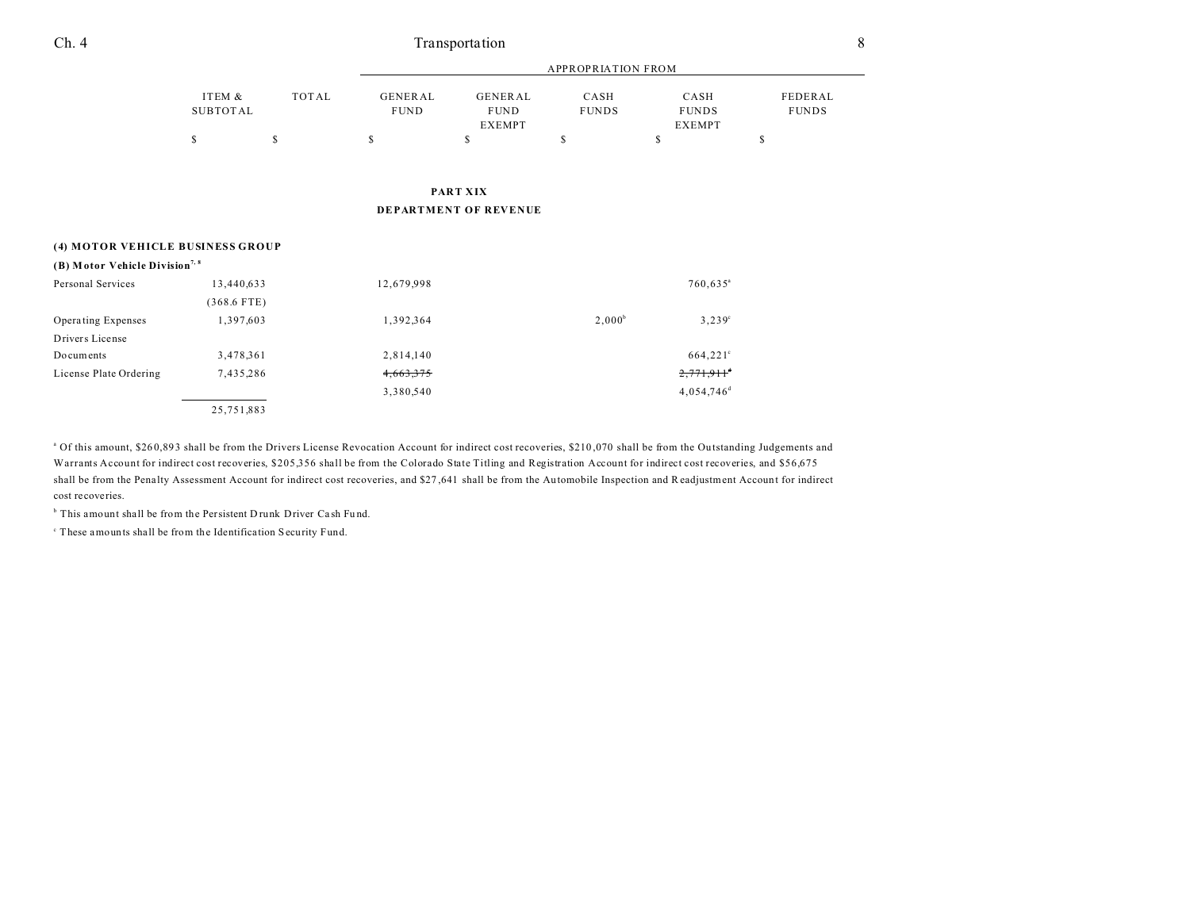| Ch. 4 | fransportation<br>_______ |  |
|-------|---------------------------|--|
|       |                           |  |

|                                            | <b>APPROPRIATION FROM</b> |             |                               |                                         |                      |                                |                         |
|--------------------------------------------|---------------------------|-------------|-------------------------------|-----------------------------------------|----------------------|--------------------------------|-------------------------|
|                                            | ITEM &<br><b>SUBTOTAL</b> | TOTAL       | <b>GENERAL</b><br><b>FUND</b> | GENERAL<br><b>FUND</b><br><b>EXEMPT</b> | CASH<br><b>FUNDS</b> | CASH<br><b>FUNDS</b><br>EXEMPT | FEDERAL<br><b>FUNDS</b> |
|                                            | \$                        | $\mathbb S$ | \$                            | \$                                      | \$                   | \$                             | \$                      |
|                                            |                           |             |                               | PART XIX                                |                      |                                |                         |
|                                            |                           |             |                               | DEPARTMENT OF REVENUE                   |                      |                                |                         |
| (4) MOTOR VEHICLE BUSINESS GROUP           |                           |             |                               |                                         |                      |                                |                         |
| (B) Motor Vehicle Division <sup>7, 8</sup> |                           |             |                               |                                         |                      |                                |                         |
| Personal Services                          | 13,440,633                |             | 12,679,998                    |                                         |                      | $760,635^{\circ}$              |                         |
|                                            | $(368.6$ FTE)             |             |                               |                                         |                      |                                |                         |
| Operating Expenses                         | 1,397,603                 |             | 1,392,364                     |                                         | $2,000^b$            | $3,239^{\circ}$                |                         |
| Drivers License                            |                           |             |                               |                                         |                      |                                |                         |
| Documents                                  | 3,478,361                 |             | 2,814,140                     |                                         |                      | $664,221$ °                    |                         |
| License Plate Ordering                     | 7,435,286                 |             | 4,663,375                     |                                         |                      | $2,771,911$ <sup>+</sup>       |                         |
|                                            |                           |             | 3,380,540                     |                                         |                      | $4,054,746$ <sup>d</sup>       |                         |
|                                            | 25,751,883                |             |                               |                                         |                      |                                |                         |

<sup>a</sup> Of this amount, \$260,893 shall be from the Drivers License Revocation Account for indirect cost recoveries, \$210,070 shall be from the Outstanding Judgements and Warrants Account for indirect cost recoveries, \$205,356 shall be from the Colorado State Titling and Registration Account for indirect cost recoveries, and \$56,675 shall be from the Penalty Assessment Account for indirect cost recoveries, and \$27,641 shall be from the Automobile Inspection and Readjustment Account for indirect cost recoveries.

<sup>b</sup> This amount shall be from the Persistent Drunk Driver Cash Fund.

c These amounts shall be from the Identifica tion Security Fund.